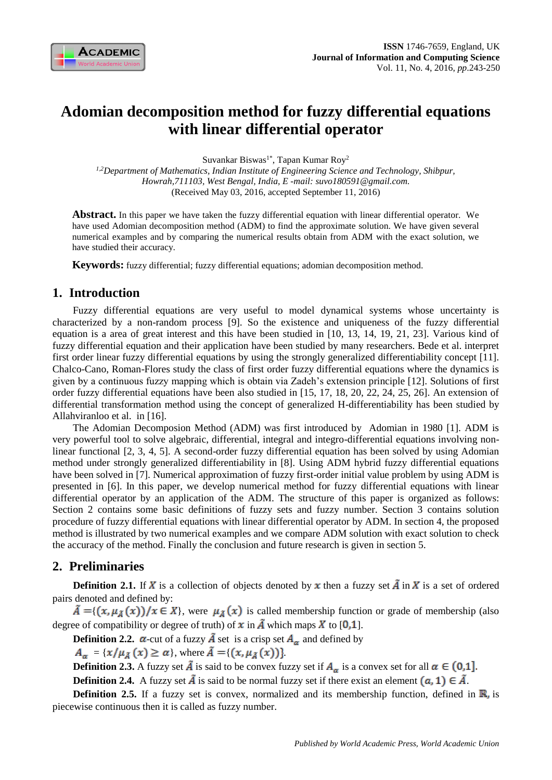

# **Adomian decomposition method for fuzzy differential equations with linear differential operator**

Suvankar Biswas<sup>1\*</sup>, Tapan Kumar Roy<sup>2</sup>

*1,2Department of Mathematics, Indian Institute of Engineering Science and Technology, Shibpur, Howrah,711103, West Bengal, India, E -mail: [suvo180591@gmail.com.](mailto:suvo180591@gmail.com)* (Received May 03, 2016, accepted September 11, 2016)

**Abstract.** In this paper we have taken the fuzzy differential equation with linear differential operator. We have used Adomian decomposition method (ADM) to find the approximate solution. We have given several numerical examples and by comparing the numerical results obtain from ADM with the exact solution, we have studied their accuracy.

**Keywords:** fuzzy differential; fuzzy differential equations; adomian decomposition method.

## **1. Introduction**

Fuzzy differential equations are very useful to model dynamical systems whose uncertainty is characterized by a non-random process [9]. So the existence and uniqueness of the fuzzy differential equation is a area of great interest and this have been studied in [10, 13, 14, 19, 21, 23]. Various kind of fuzzy differential equation and their application have been studied by many researchers. Bede et al. interpret first order linear fuzzy differential equations by using the strongly generalized differentiability concept [11]. Chalco-Cano, Roman-Flores study the class of first order fuzzy differential equations where the dynamics is given by a continuous fuzzy mapping which is obtain via Zadeh's extension principle [12]. Solutions of first order fuzzy differential equations have been also studied in [15, 17, 18, 20, 22, 24, 25, 26]. An extension of differential transformation method using the concept of generalized H-differentiability has been studied by Allahviranloo et al. in [16].

The Adomian Decomposion Method (ADM) was first introduced by Adomian in 1980 [1]. ADM is very powerful tool to solve algebraic, differential, integral and integro-differential equations involving nonlinear functional [2, 3, 4, 5]. A second-order fuzzy differential equation has been solved by using Adomian method under strongly generalized differentiability in [8]. Using ADM hybrid fuzzy differential equations have been solved in [7]. Numerical approximation of fuzzy first-order initial value problem by using ADM is presented in [6]. In this paper, we develop numerical method for fuzzy differential equations with linear differential operator by an application of the ADM. The structure of this paper is organized as follows: Section 2 contains some basic definitions of fuzzy sets and fuzzy number. Section 3 contains solution procedure of fuzzy differential equations with linear differential operator by ADM. In section 4, the proposed method is illustrated by two numerical examples and we compare ADM solution with exact solution to check the accuracy of the method. Finally the conclusion and future research is given in section 5.

# **2. Preliminaries**

**Definition 2.1.** If X is a collection of objects denoted by x then a fuzzy set  $\tilde{A}$  in X is a set of ordered pairs denoted and defined by:

 ${\tilde{A} = \{ (x, \mu_{\tilde{A}}(x))/x \in X \}}$ , were  $\mu_{\tilde{A}}(x)$  is called membership function or grade of membership (also degree of compatibility or degree of truth) of  $x$  in  $\tilde{A}$  which maps  $\tilde{X}$  to [0,1].

**Definition 2.2.**  $\alpha$ -cut of a fuzzy  $\tilde{A}$  set is a crisp set  $A_{\alpha}$  and defined by

 $A_{\alpha} = \{x/\mu_{\tilde{A}}(x) \ge \alpha\}$ , where  $\tilde{A} = \{(x, \mu_{\tilde{A}}(x))\}.$ 

**Definition 2.3.** A fuzzy set  $\tilde{A}$  is said to be convex fuzzy set if  $A_{\alpha}$  is a convex set for all  $\alpha \in (0,1]$ .

**Definition 2.4.** A fuzzy set  $\tilde{A}$  is said to be normal fuzzy set if there exist an element  $(a, 1) \in \tilde{A}$ .

**Definition 2.5.** If a fuzzy set is convex, normalized and its membership function, defined in  $\mathbb{R}$ , is piecewise continuous then it is called as fuzzy number.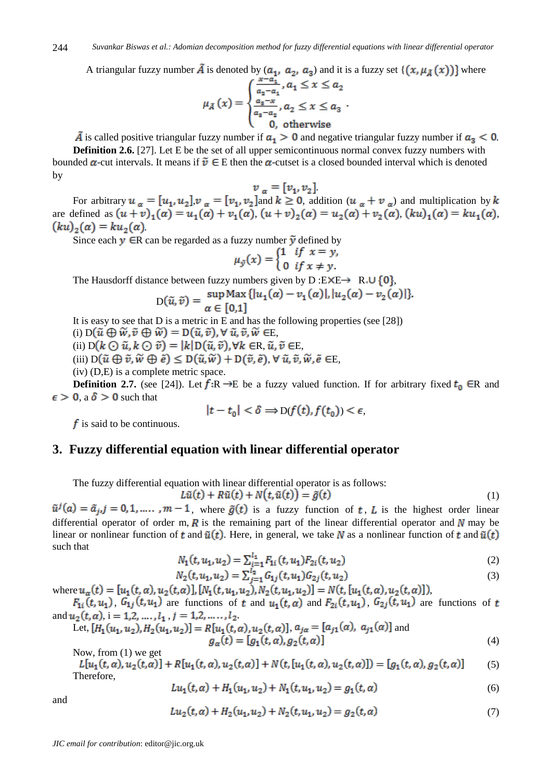A triangular fuzzy number  $\tilde{A}$  is denoted by  $(a_1, a_2, a_3)$  and it is a fuzzy set  $\{ (x, \mu_{\tilde{A}}(x)) \}$  where

$$
\mu_{\tilde{A}}(x) = \begin{cases} \frac{x-a_1}{a_2 - a_1}, a_1 \le x \le a_2\\ \frac{a_3 - x}{a_3 - a_2}, a_2 \le x \le a_3\\ 0, \text{ otherwise} \end{cases}.
$$

 $\tilde{A}$  is called positive triangular fuzzy number if  $a_1 > 0$  and negative triangular fuzzy number if  $a_3 < 0$ .

**Definition 2.6.** [27]. Let E be the set of all upper semicontinuous normal convex fuzzy numbers with bounded  $\alpha$ -cut intervals. It means if  $\tilde{v} \in E$  then the  $\alpha$ -cutset is a closed bounded interval which is denoted by

$$
v_{\alpha} = [v_1, v_2]
$$

For arbitrary  $u_{\alpha} = [u_1, u_2], v_{\alpha} = [v_1, v_2]$  and  $k \ge 0$ , addition  $(u_{\alpha} + v_{\alpha})$  and multiplication by are defined as  $(u + v)_{1}(a) = u_{1}(a) + v_{1}(a)$ ,  $(u + v)_{2}(a) = u_{2}(a) + v_{2}(a)$ ,  $(ku)_{1}(a) = ku_{1}(a)$ ,  $(ku)_2(a) = ku_2(a)$ .

Since each  $y \in R$  can be regarded as a fuzzy number  $\tilde{y}$  defined by

$$
\mu_{\tilde{y}}(x) = \begin{cases} 1 & \text{if } x = y, \\ 0 & \text{if } x \neq y. \end{cases}
$$

The Hausdorff distance between fuzzy numbers given by D:E $\times$ E $\rightarrow$  R<sub>+</sub>U {0},

$$
D(\tilde{u}, \tilde{v}) = \frac{\sup \text{Max} \left\{ |u_1(\alpha) - v_1(\alpha)|, |u_2(\alpha) - v_2(\alpha)| \right\}}{\alpha \in [0, 1]}
$$

It is easy to see that  $D$  is a metric in  $E$  and has the following properties (see [28])

(i)  $D(\tilde{u} \oplus \tilde{w}, \tilde{v} \oplus \tilde{w}) = D(\tilde{u}, \tilde{v}), \forall \tilde{u}, \tilde{v}, \tilde{w} \in E$ 

(ii)  $D(k \bigodot \tilde{u}, k \bigodot \tilde{v}) = |k| D(\tilde{u}, \tilde{v}), \forall k \in R, \tilde{u}, \tilde{v} \in E,$ 

(iii)  $D(\tilde{u} \oplus \tilde{v}, \tilde{w} \oplus \tilde{e}) \leq D(\tilde{u}, \tilde{w}) + D(\tilde{v}, \tilde{e}), \forall \tilde{u}, \tilde{v}, \tilde{w}, \tilde{e} \in E$ 

(iv) (D,E) is a complete metric space.

**Definition 2.7.** (see [24]). Let  $f: \mathbb{R} \to \mathbb{E}$  be a fuzzy valued function. If for arbitrary fixed  $t_0 \in \mathbb{R}$  and  $\epsilon > 0$ , a  $\delta > 0$  such that

$$
|t-t_0| < \delta \Rightarrow D(f(t), f(t_0)) < \epsilon,
$$

 $f$  is said to be continuous.

## **3. Fuzzy differential equation with linear differential operator**

The fuzzy differential equation with linear differential operator is as follows:

$$
L\tilde{u}(t) + R\tilde{u}(t) + N(t, \tilde{u}(t)) = \tilde{g}(t)
$$
\n(1)

 $\tilde{u}^j(a) = \tilde{a}_{j,j} = 0, 1, \dots, m-1$ , where  $\tilde{g}(t)$  is a fuzzy function of t, L is the highest order linear differential operator of order m,  $\vec{R}$  is the remaining part of the linear differential operator and  $\vec{N}$  may be linear or nonlinear function of t and  $\tilde{u}(t)$ . Here, in general, we take N as a nonlinear function of t and  $\tilde{u}(t)$ such that

$$
N_1(t, u_1, u_2) = \sum_{i=1}^{t_1} F_{1i}(t, u_1) F_{2i}(t, u_2)
$$
\n(2)

$$
N_2(t, u_1, u_2) = \sum_{j=1}^{l_2} G_{1j}(t, u_1) G_{2j}(t, u_2)
$$
\n(3)

where  $u_{\alpha}(t) = [u_1(t, \alpha), u_2(t, \alpha)], [N_1(t, u_1, u_2), N_2(t, u_1, u_2)] = N(t, [u_1(t, \alpha), u_2(t, \alpha)]),$ ,  $G_{1j}(t, u_1)$  are functions of t and  $u_1(t, \alpha)$  and  $F_{2i}(t, u_1)$ ,  $G_{2j}(t, u_1)$  are functions of

and 
$$
u_1(t, a_1)
$$
,  $u_1(t, a_1)$  are functions of t and  $u_1(t, a)$  and  $u_2(t, a_1)$ ,  $u_2(t, a_1)$  are functions of t  
and  $u_2(t, a)$ ,  $i = 1, 2, ..., l_1$ ,  $j = 1, 2, ..., l_2$ .  
Let,  $[H_1(u_1, u_2), H_2(u_1, u_2)] = R[u_1(t, a), u_2(t, a)]$ ,  $a_{ja} = [a_{j1}(a), a_{j1}(a)]$  and

$$
H_2(u_1, u_2) = R[u_1(t, \alpha), u_2(t, \alpha)], a_{ja} = [a_{j1}(\alpha), a_{j1}(\alpha)] \text{ and}
$$
  
\n
$$
g_{\alpha}(t) = [g_1(t, \alpha), g_2(t, \alpha)]
$$
\n(4)

Now, from (1) we get

$$
L[u_1(t, \alpha), u_2(t, \alpha)] + R[u_1(t, \alpha), u_2(t, \alpha)] + N(t, [u_1(t, \alpha), u_2(t, \alpha)]) = [g_1(t, \alpha), g_2(t, \alpha)] \tag{5}
$$
  
Therefore,

$$
Lu_1(t, \alpha) + H_1(u_1, u_2) + N_1(t, u_1, u_2) = g_1(t, \alpha)
$$
\n(6)

and

$$
Lu_2(t, \alpha) + H_2(u_1, u_2) + N_2(t, u_1, u_2) = g_2(t, \alpha) \tag{7}
$$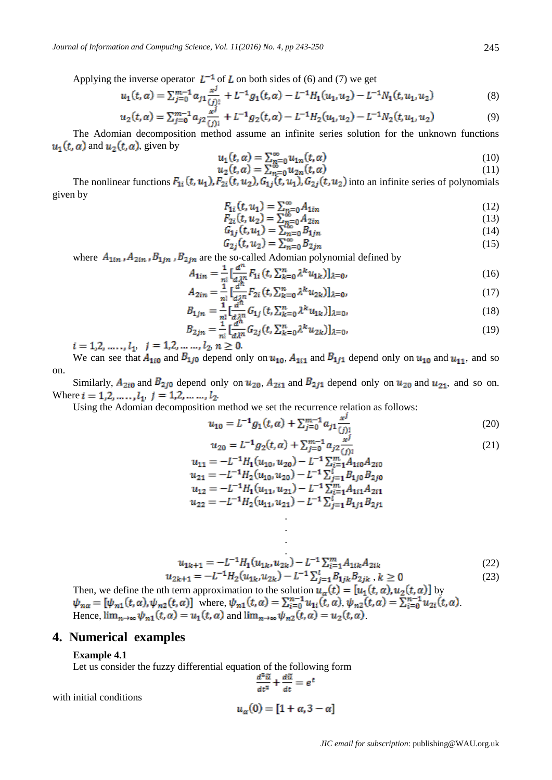Applying the inverse operator  $L^{-1}$  of L on both sides of (6) and (7) we get

$$
u_1(t, \alpha) = \sum_{j=0}^{m-1} a_{j1} \frac{x^j}{(j)!} + L^{-1} g_1(t, \alpha) - L^{-1} H_1(u_1, u_2) - L^{-1} N_1(t, u_1, u_2)
$$
(8)

$$
u_2(t,\alpha) = \sum_{j=0}^{m-1} a_{j2} \frac{x^j}{(j)!} + L^{-1} g_2(t,\alpha) - L^{-1} H_2(u_1, u_2) - L^{-1} N_2(t, u_1, u_2)
$$
(9)

The Adomian decomposition method assume an infinite series solution for the unknown functions  $u_1(t, \alpha)$  and  $u_2(t, \alpha)$ , given by

$$
u_1(t, \alpha) = \sum_{n=0}^{\infty} u_{1n}(t, \alpha) \tag{10}
$$

$$
u_2(t, \alpha) = \sum_{n=0}^{\infty} u_{2n}(t, \alpha)
$$
 (11)

The nonlinear functions  $F_{1i}(t, u_1), F_{2i}(t, u_2), G_{1j}(t, u_1), G_{2j}(t, u_2)$  into an infinite series of polynomials given by

$$
F_{1i}(t, u_1) = \sum_{n=0}^{\infty} A_{1in}
$$
\n
$$
F_{1i}(t, u_1) = \sum_{n=0}^{\infty} A_{1in}
$$
\n(12)

$$
F_{1i}(t, u_1) = \sum_{n=0}^{\infty} A_{1in}
$$
  
\n
$$
F_{2i}(t, u_2) = \sum_{n=0}^{\infty} A_{2in}
$$
  
\n
$$
G_{1i}(t, u_1) = \sum_{n=0}^{\infty} B_{1in}
$$
  
\n(13)

$$
G_{1j}(t, u_1) = \sum_{n=0}^{\infty} B_{1jn}
$$
  
\n
$$
G_{2j}(t, u_2) = \sum_{n=0}^{\infty} B_{2jn}
$$
\n(14)

where  $A_{1in}$ ,  $A_{2in}$ ,  $B_{1in}$ ,  $B_{2in}$  are the so-called Adomian polynomial defined by

$$
A_{1in} = \frac{1}{n!} \left[ \frac{a^n}{d\lambda^n} F_{1i} \left( t, \sum_{k=0}^n \lambda^k u_{1k} \right) \right]_{\lambda=0},\tag{16}
$$

$$
A_{2in} = \frac{1}{n!} \left[ \frac{u}{d\lambda^n} F_{2i} \left( t, \sum_{k=0}^n \lambda^k u_{2k} \right) \right]_{\lambda=0},\tag{17}
$$

$$
B_{1jn} = \frac{1}{n!} \left[ \frac{u}{d\lambda^n} G_{1j} \left( t, \sum_{k=0}^n \lambda^k u_{1k} \right) \right]_{\lambda=0},\tag{18}
$$

$$
B_{2jn} = \frac{1}{n!} \left[ \frac{a^{n}}{d\lambda^{n}} G_{2j}(t, \sum_{k=0}^{n} \lambda^{k} u_{2k}) \right]_{\lambda=0},\tag{19}
$$

 $i = 1, 2, \ldots, l_1, j = 1, 2, \ldots, l_2, n \ge 0.$ 

We can see that  $A_{1i0}$  and  $B_{1j0}$  depend only on  $u_{10}$ ,  $A_{1i1}$  and  $B_{1j1}$  depend only on  $u_{10}$  and  $u_{11}$ , and so on.

Similarly,  $A_{2i0}$  and  $B_{2j0}$  depend only on  $u_{20}$ ,  $A_{2i1}$  and  $B_{2j1}$  depend only on  $u_{20}$  and  $u_{21}$ , and so on. Where  $i = 1, 2, ..., l_1$ ,  $j = 1, 2, ..., l_2$ .

Using the Adomian decomposition method we set the recurrence relation as follows:

$$
u_{10} = L^{-1}g_1(t,\alpha) + \sum_{j=0}^{m-1} a_{j1} \frac{x^j}{(j)!}
$$
\n(20)

$$
u_{20} = L^{-1}g_2(t, \alpha) + \sum_{j=0}^{m-1} a_{j2} \frac{x^j}{(j)!}
$$
  
\n
$$
u_{11} = -L^{-1}H_1(u_{10}, u_{20}) - L^{-1} \sum_{i=1}^{m} A_{1i0} A_{2i0}
$$
\n(21)

$$
u_{11} = L^{-1}H_2(u_{10}, u_{20}) - L^{-1}\sum_{i=1}^{l} B_{1j0}B_{2j0}
$$
  
\n
$$
u_{12} = -L^{-1}H_1(u_{11}, u_{21}) - L^{-1}\sum_{i=1}^{m} B_{1j0}B_{2j0}
$$
  
\n
$$
u_{22} = -L^{-1}H_2(u_{11}, u_{21}) - L^{-1}\sum_{i=1}^{l} B_{1j1}B_{2j1}
$$

. . .

$$
u_{1k+1} = -L^{-1}H_1(u_{1k}, u_{2k}) - L^{-1}\sum_{i=1}^m A_{1ik}A_{2ik}
$$
  
\n
$$
u_{2k+1} = -L^{-1}H_2(u_{1k}, u_{2k}) - L^{-1}\sum_{j=1}^l B_{1jk}B_{2jk}, k \ge 0
$$
\n(23)

Then, we define the nth term approximation to the solution  $u_{\alpha}(t) = [u_1(t, \alpha), u_2(t, \alpha)]$  by where,  $\psi_{n1}(t, \alpha) = \sum_{i=0}^{n-1} u_{1i}(t, \alpha), \psi_{n2}(t, \alpha) = \sum_{i=0}^{n-1} u_{2i}(t, \alpha)$ . Hence,  $\lim_{n\to\infty} \psi_{n1}(t, \alpha) = u_1(t, \alpha)$  and  $\lim_{n\to\infty} \psi_{n2}(t, \alpha) = u_2(t, \alpha)$ .

#### **4. Numerical examples**

#### **Example 4.1**

Let us consider the fuzzy differential equation of the following form

$$
\frac{d^2u}{dt^2} + \frac{du}{dt} = e^t
$$

with initial conditions

$$
u_{\alpha}(0) = [1 + \alpha, 3 - \alpha]
$$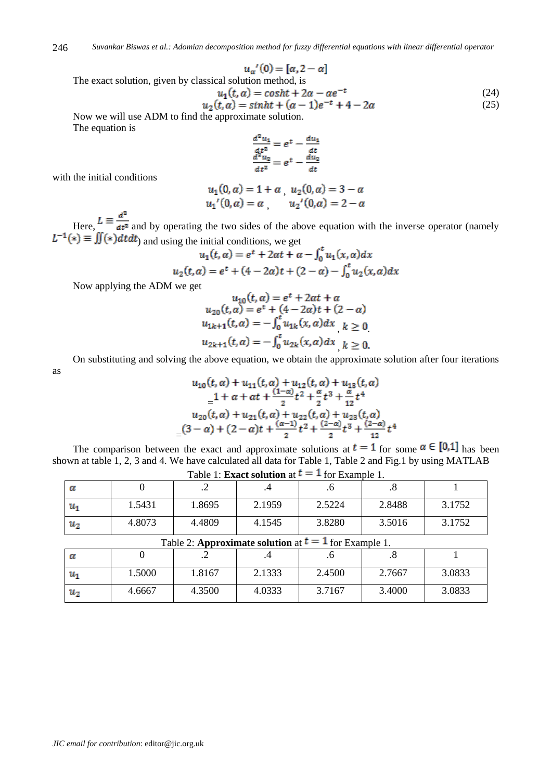$$
u_{\alpha}^{\prime}(0)=[\alpha,2-\alpha]
$$

The exact solution, given by classical solution method, is

$$
u_1(t, \alpha) = \cosh t + 2\alpha - \alpha e^{-t}
$$
  
\n
$$
u_2(t, \alpha) = \sinh t + (\alpha - 1)e^{-t} + 4 - 2\alpha
$$
 (25)

Now we will use ADM to find the approximate solution. The equation is

$$
\frac{\frac{d^2u_1}{dt^2}}{\frac{d^2u_2}{dt^2}} = e^t - \frac{\frac{du_1}{dt}}{\frac{du_2}{dt}}
$$

with the initial conditions

$$
u_1(0, \alpha) = 1 + \alpha \quad u_2(0, \alpha) = 3 - \alpha
$$
  

$$
u_1'(0, \alpha) = \alpha \quad u_2'(0, \alpha) = 2 - \alpha
$$

Here,  $L \equiv \frac{d^2}{dt^2}$  and by operating the two sides of the above equation with the inverse operator (namely  $L^{-1}(*) \equiv \iint(*)dt dt$  and using the initial conditions, we get

$$
u_1(t, \alpha) = e^t + 2\alpha t + \alpha - \int_0^t u_1(x, \alpha) dx
$$
  

$$
u_2(t, \alpha) = e^t + (4 - 2\alpha)t + (2 - \alpha) - \int_0^t u_2(x, \alpha) dx
$$

Now applying the ADM we get

$$
u_{10}(t, \alpha) = e^{t} + 2\alpha t + \alpha
$$
  
\n
$$
u_{20}(t, \alpha) = e^{t} + (4 - 2\alpha)t + (2 - \alpha)
$$
  
\n
$$
u_{1k+1}(t, \alpha) = -\int_{0}^{t} u_{1k}(x, \alpha) dx \quad k \ge 0
$$
  
\n
$$
u_{2k+1}(t, \alpha) = -\int_{0}^{t} u_{2k}(x, \alpha) dx \quad k \ge 0.
$$

On substituting and solving the above equation, we obtain the approximate solution after four iterations

as

$$
u_{10}(t, \alpha) + u_{11}(t, \alpha) + u_{12}(t, \alpha) + u_{13}(t, \alpha)
$$
  
= 1 + \alpha + \alpha t +  $\frac{(1-\alpha)}{2}t^2 + \frac{\alpha}{2}t^3 + \frac{\alpha}{12}t^4$   

$$
u_{20}(t, \alpha) + u_{21}(t, \alpha) + u_{22}(t, \alpha) + u_{23}(t, \alpha)
$$
  
= (3 - \alpha) + (2 - \alpha)t +  $\frac{(\alpha - 1)}{2}t^2 + \frac{(2-\alpha)}{2}t^3 + \frac{(2-\alpha)}{12}t^4$ 

The comparison between the exact and approximate solutions at  $t = 1$  for some  $\alpha \in [0,1]$  has been shown at table 1, 2, 3 and 4. We have calculated all data for Table 1, Table 2 and Fig.1 by using MATLAB

| α              |        | $\cdot$ |        | ۰∪     | .о     |        |
|----------------|--------|---------|--------|--------|--------|--------|
| u,             | 1.5431 | 1.8695  | 2.1959 | 2.5224 | 2.8488 | 3.1752 |
| u <sub>2</sub> | 4.8073 | 4.4809  | 4.1545 | 3.8280 | 3.5016 | 3.1752 |

Table 1: **Exact solution** at  $t = 1$  for Example 1.

| Table 2: <b>Approximate solution</b> at $t = 1$ for Example 1. |  |  |
|----------------------------------------------------------------|--|--|
|                                                                |  |  |

| . .            |        |                          |        |        |           |        |
|----------------|--------|--------------------------|--------|--------|-----------|--------|
| α              |        | $\overline{\phantom{0}}$ |        |        | $\cdot$ o |        |
| и              | 1.5000 | .8167                    | 2.1333 | 2.4500 | 2.7667    | 3.0833 |
| u <sub>2</sub> | 4.6667 | 4.3500                   | 4.0333 | 3.7167 | 3.4000    | 3.0833 |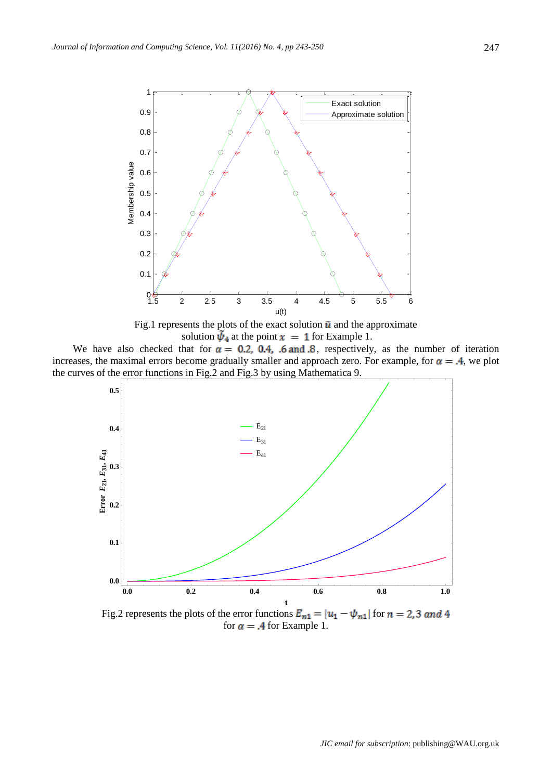

Fig.1 represents the plots of the exact solution  $\tilde{u}$  and the approximate solution  $\bar{\psi}_4$  at the point  $x = 1$  for Example 1.

We have also checked that for  $\alpha = 0.2$ , 0.4, .6 and 8, respectively, as the number of iteration increases, the maximal errors become gradually smaller and approach zero. For example, for  $\alpha = .4$ , we plot the curves of the error functions in Fig.2 and Fig.3 by using Mathematica 9.



Fig.2 represents the plots of the error functions  $E_{n1} = |u_1 - \psi_{n1}|$  for  $n = 2, 3$  and 4 for  $\alpha = .4$  for Example 1.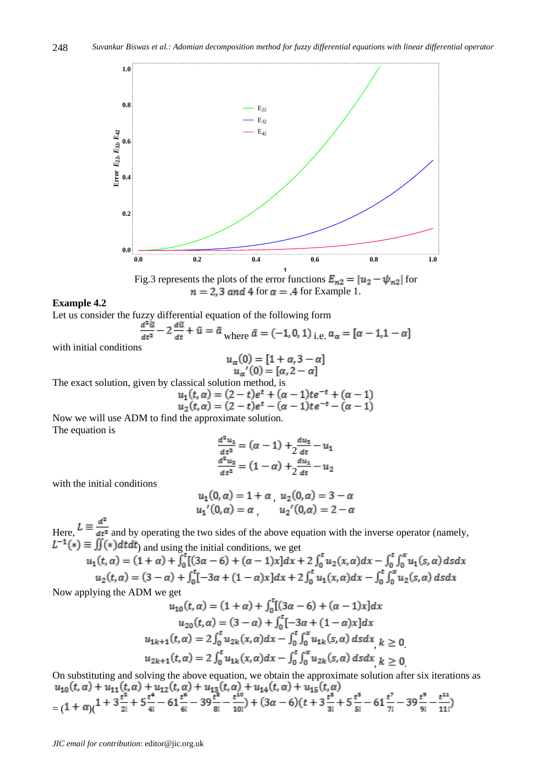



#### **Example 4.2**

Let us consider the fuzzy differential equation of the following form

$$
\frac{d^2\tilde{u}}{dt^2} - 2\frac{d\tilde{u}}{dt} + \tilde{u} = \tilde{a}
$$
 where  $\tilde{a} = (-1, 0, 1)$  i.e.  $a_{\alpha} = [\alpha - 1, 1 - \alpha]$ 

with initial conditions

$$
u_{\alpha}(0) = [1 + \alpha, 3 - \alpha]
$$
  

$$
u_{\alpha}'(0) = [\alpha, 2 - \alpha]
$$

The exact solution, given by classical solution method, is

$$
u_1(t, \alpha) = (2 - t)e^t + (\alpha - 1)te^{-t} + (\alpha - 1)
$$
  

$$
u_2(t, \alpha) = (2 - t)e^t - (\alpha - 1)te^{-t} - (\alpha - 1)
$$

Now we will use ADM to find the approximate solution. The equation is

$$
\frac{d^2 u_1}{dt^2} = (\alpha - 1) + 2\frac{du_2}{dt} - u_1
$$

$$
\frac{d^2 u_2}{dt^2} = (1 - \alpha) + 2\frac{du_1}{dt} - u_2
$$

with the initial conditions

$$
u_1(0, \alpha) = 1 + \alpha \quad u_2(0, \alpha) = 3 - \alpha
$$
  

$$
u_1'(0, \alpha) = \alpha \quad u_2'(0, \alpha) = 2 - \alpha
$$

Here,  $\frac{d}{dt} - \frac{d}{dt}$  and by operating the two sides of the above equation with the inverse operator (namely, ) and using the initial conditions, we get

$$
u_1(t, \alpha) = (1 + \alpha) + \int_0^t [(3\alpha - 6) + (\alpha - 1)x] dx + 2 \int_0^t u_2(x, \alpha) dx - \int_0^t \int_0^x u_1(s, \alpha) ds dx
$$
  

$$
u_2(t, \alpha) = (3 - \alpha) + \int_0^t [-3\alpha + (1 - \alpha)x] dx + 2 \int_0^t u_1(x, \alpha) dx - \int_0^t \int_0^x u_2(s, \alpha) ds dx
$$

Now applying the ADM we get

$$
u_{10}(t, \alpha) = (1 + \alpha) + \int_0^t [(3\alpha - 6) + (\alpha - 1)x] dx
$$
  
\n
$$
u_{20}(t, \alpha) = (3 - \alpha) + \int_0^t [-3\alpha + (1 - \alpha)x] dx
$$
  
\n
$$
u_{1k+1}(t, \alpha) = 2 \int_0^t u_{2k}(x, \alpha) dx - \int_0^t \int_0^x u_{1k}(s, \alpha) ds dx \quad k \ge 0
$$
  
\n
$$
u_{2k+1}(t, \alpha) = 2 \int_0^t u_{1k}(x, \alpha) dx - \int_0^t \int_0^x u_{2k}(s, \alpha) ds dx \quad k \ge 0
$$

On substituting and solving the above equation, we obtain the approximate solution after six iterations as  $\frac{u_{10}(t, \alpha) + u_{11}(t, \alpha) + u_{12}(t, \alpha) + u_{13}(t, \alpha) + u_{14}(t, \alpha) + u_{15}(t, \alpha)}{((1 + \alpha)(1 + 3\frac{t^2}{2!} + 5\frac{t^4}{4!} - 61\frac{t^6}{6!} - 39\frac{t^8}{8!} - \frac{t^{10}}{10!}) + (3\alpha - 6)(t + 3\frac{t^8}{3!} + 5\frac{t^5}{5!} - 61\frac{t^7}{7!} - 39\frac{t^9}{9!} - \frac{t^{11}}{11$ 

*JIC email for contribution*: editor@jic.org.uk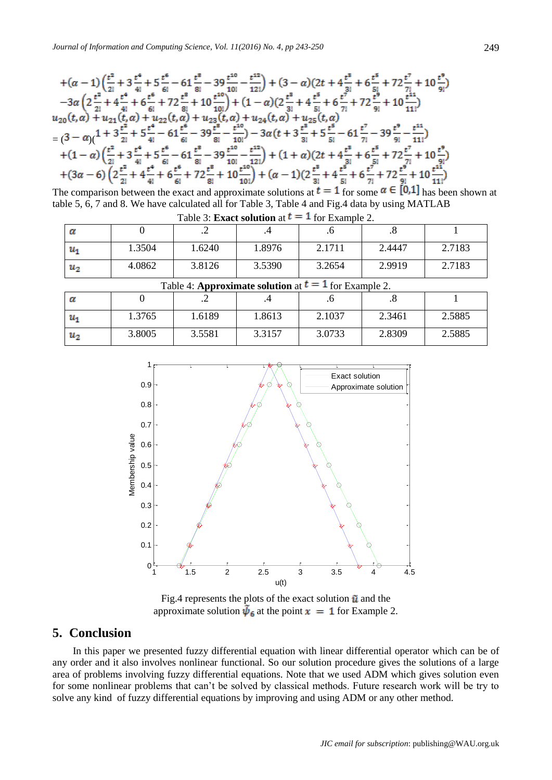$$
+( \alpha -1) \left(\frac{t^2}{2!}+3\frac{t^4}{4!}+5\frac{t^6}{6!}-61\frac{t^8}{8!}-39\frac{t^{10}}{10!}-\frac{t^{12}}{12!}\right)+ (3-\alpha) (2t+4\frac{t^8}{3!}+6\frac{t^5}{5!}+72\frac{t^7}{7!}+10\frac{t^9}{9!})-\alpha \left(2\frac{t^2}{2!}+4\frac{t^4}{4!}+6\frac{t^6}{6!}+72\frac{t^8}{8!}+10\frac{t^{10}}{10!}\right) + (1-\alpha) (2\frac{t^8}{3!}+4\frac{t^5}{5!}+6\frac{t^7}{7!}+72\frac{t^9}{9!}+10\frac{t^{11}}{11!})u_{20}(t,\alpha)+u_{21}(t,\alpha)+u_{22}(t,\alpha)+u_{23}(t,\alpha)+u_{24}(t,\alpha)+u_{25}(t,\alpha) =(3-\alpha) (1+3\frac{t^2}{2!}+5\frac{t^4}{4!}-61\frac{t^6}{6!}-39\frac{t^8}{8!}-\frac{t^{10}}{10!})-3\alpha (t+3\frac{t^8}{8!}+5\frac{t^5}{5!}-61\frac{t^7}{7!}-39\frac{t^9}{9!}-\frac{t^{11}}{11!})+(1-\alpha) (\frac{t^2}{2!}+3\frac{t^4}{4!}+5\frac{t^6}{6!}-61\frac{t^8}{8!}-39\frac{t^{10}}{10!}-\frac{t^{12}}{12!})+(1+\alpha) (2t+4\frac{t^8}{8!}+6\frac{t^5}{5!}+72\frac{t^7}{7!}+10\frac{t^9}{9!})+(3\alpha-6) (2\frac{t^2}{2!}+4\frac{t^4}{4!}+6\frac{t^6}{6!}+72\frac{t^8}{8!}+10\frac{t^{10}}{10!})+(\alpha-1) (2\frac{t^8}{3!}+4\frac{t^5}{5!}+6\frac{t^7}{7!}+72\frac{t^9}{9!}+10\frac{t^{
$$

The comparison between the exact and approximate solutions at  $t = 1$  for some  $\alpha \in [0,1]$  has been shown at table 5, 6, 7 and 8. We have calculated all for Table 3, Table 4 and Fig.4 data by using MATLAB

| Table 3: <b>Exact solution</b> at $t = 1$ for Example 2. |        |        |        |        |        |        |
|----------------------------------------------------------|--------|--------|--------|--------|--------|--------|
|                                                          |        | . .    |        |        |        |        |
| и                                                        | 1.3504 | 1.6240 | 1.8976 | 2.1711 | 2.4447 | 2.7183 |
| и,                                                       | 4.0862 | 3.8126 | 3.5390 | 3.2654 | 2.9919 | 2.7183 |

| Table 4: <b>Approximate solution</b> at $t = 1$ for Example 2. |        |        |        |        |        |        |  |
|----------------------------------------------------------------|--------|--------|--------|--------|--------|--------|--|
|                                                                |        |        |        |        |        |        |  |
| и                                                              | 1.3765 | 1.6189 | 1.8613 | 2.1037 | 2.3461 | 2.5885 |  |
| $u_2$                                                          | 3.8005 | 3.5581 | 3.3157 | 3.0733 | 2.8309 | 2.5885 |  |



Fig.4 represents the plots of the exact solution  $\tilde{u}$  and the approximate solution  $\bar{\psi}_6$  at the point  $x = 1$  for Example 2.

## **5. Conclusion**

In this paper we presented fuzzy differential equation with linear differential operator which can be of any order and it also involves nonlinear functional. So our solution procedure gives the solutions of a large area of problems involving fuzzy differential equations. Note that we used ADM which gives solution even for some nonlinear problems that can't be solved by classical methods. Future research work will be try to solve any kind of fuzzy differential equations by improving and using ADM or any other method.